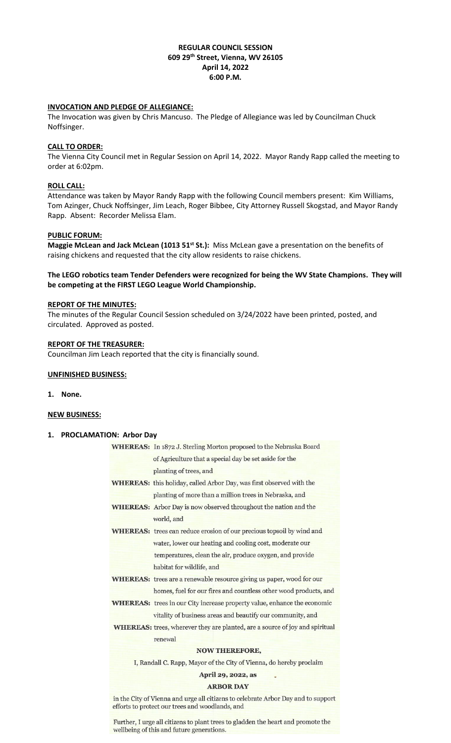## **REGULAR COUNCIL SESSION 609 29th Street, Vienna, WV 26105 April 14, 2022 6:00 P.M.**

## **INVOCATION AND PLEDGE OF ALLEGIANCE:**

The Invocation was given by Chris Mancuso. The Pledge of Allegiance was led by Councilman Chuck Noffsinger.

## **CALL TO ORDER:**

The Vienna City Council met in Regular Session on April 14, 2022. Mayor Randy Rapp called the meeting to order at 6:02pm.

## **ROLL CALL:**

Attendance was taken by Mayor Randy Rapp with the following Council members present: Kim Williams, Tom Azinger, Chuck Noffsinger, Jim Leach, Roger Bibbee, City Attorney Russell Skogstad, and Mayor Randy Rapp. Absent: Recorder Melissa Elam.

## **PUBLIC FORUM:**

**Maggie McLean and Jack McLean (1013 51st St.):** Miss McLean gave a presentation on the benefits of raising chickens and requested that the city allow residents to raise chickens.

## **The LEGO robotics team Tender Defenders were recognized for being the WV State Champions. They will be competing at the FIRST LEGO League World Championship.**

## **REPORT OF THE MINUTES:**

The minutes of the Regular Council Session scheduled on 3/24/2022 have been printed, posted, and circulated. Approved as posted.

## **REPORT OF THE TREASURER:**

Councilman Jim Leach reported that the city is financially sound.

#### **UNFINISHED BUSINESS:**

**1. None.**

## **NEW BUSINESS:**

## **1. PROCLAMATION: Arbor Day**

| WHEREAS: In 1872 J. Sterling Morton proposed to the Nebraska Board                                                                   |  |  |  |  |
|--------------------------------------------------------------------------------------------------------------------------------------|--|--|--|--|
| of Agriculture that a special day be set aside for the                                                                               |  |  |  |  |
| planting of trees, and                                                                                                               |  |  |  |  |
| <b>WHEREAS:</b> this holiday, called Arbor Day, was first observed with the                                                          |  |  |  |  |
| planting of more than a million trees in Nebraska, and                                                                               |  |  |  |  |
| <b>WHEREAS:</b> Arbor Day is now observed throughout the nation and the                                                              |  |  |  |  |
| world, and                                                                                                                           |  |  |  |  |
| <b>WHEREAS:</b> trees can reduce erosion of our precious topsoil by wind and                                                         |  |  |  |  |
| water, lower our heating and cooling cost, moderate our                                                                              |  |  |  |  |
| temperatures, clean the air, produce oxygen, and provide                                                                             |  |  |  |  |
| habitat for wildlife, and                                                                                                            |  |  |  |  |
| <b>WHEREAS:</b> trees are a renewable resource giving us paper, wood for our                                                         |  |  |  |  |
| homes, fuel for our fires and countless other wood products, and                                                                     |  |  |  |  |
| <b>WHEREAS:</b> trees in our City increase property value, enhance the economic                                                      |  |  |  |  |
| vitality of business areas and beautify our community, and                                                                           |  |  |  |  |
| <b>WHEREAS:</b> trees, wherever they are planted, are a source of joy and spiritual                                                  |  |  |  |  |
| renewal                                                                                                                              |  |  |  |  |
| <b>NOW THEREFORE,</b>                                                                                                                |  |  |  |  |
| I, Randall C. Rapp, Mayor of the City of Vienna, do hereby proclaim                                                                  |  |  |  |  |
| April 29, 2022, as                                                                                                                   |  |  |  |  |
| <b>ARBOR DAY</b>                                                                                                                     |  |  |  |  |
| in the City of Vienna and urge all citizens to celebrate Arbor Day and to support<br>efforts to protect our trees and woodlands, and |  |  |  |  |

Further, I urge all citizens to plant trees to gladden the heart and promote the wellbeing of this and future generations.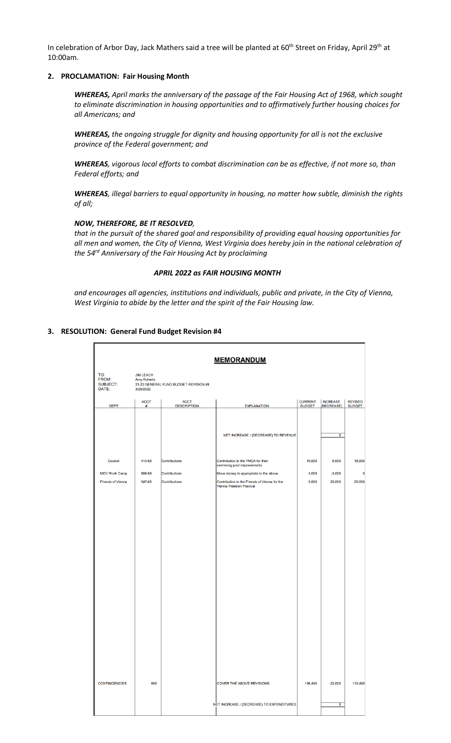In celebration of Arbor Day, Jack Mathers said a tree will be planted at 60<sup>th</sup> Street on Friday, April 29<sup>th</sup> at 10:00am.

### **2. PROCLAMATION: Fair Housing Month**

*WHEREAS, April marks the anniversary of the passage of the Fair Housing Act of 1968, which sought to eliminate discrimination in housing opportunities and to affirmatively further housing choices for all Americans; and*

*WHEREAS, the ongoing struggle for dignity and housing opportunity for all is not the exclusive province of the Federal government; and*

*WHEREAS, vigorous local efforts to combat discrimination can be as effective, if not more so, than Federal efforts; and*

*WHEREAS, illegal barriers to equal opportunity in housing, no matter how subtle, diminish the rights of all;*

## *NOW, THEREFORE, BE IT RESOLVED,*

*that in the pursuit of the shared goal and responsibility of providing equal housing opportunities for* all men and women, the City of Vienna, West Virginia does hereby join in the national celebration of *the 54 rd Anniversary of the Fair Housing Act by proclaiming*

#### *APRIL 2022 as FAIR HOUSING MONTH*

*and encourages all agencies, institutions and individuals, public and private, in the City of Vienna, West Virginia to abide by the letter and the spirit of the Fair Housing law.*

## **3. RESOLUTION: General Fund Budget Revision #4**

| <b>MEMORANDUM</b>                                                                                                                               |                  |                                   |                                                                               |                                 |                               |                                 |  |  |
|-------------------------------------------------------------------------------------------------------------------------------------------------|------------------|-----------------------------------|-------------------------------------------------------------------------------|---------------------------------|-------------------------------|---------------------------------|--|--|
| TO:<br><b>JIM LEACH</b><br><b>FROM:</b><br><b>Amy Roberts</b><br><b>SUBJECT:</b><br>21-22 GENERAL FUND BUDGET REVISION #4<br>DATE:<br>3/29/2022 |                  |                                   |                                                                               |                                 |                               |                                 |  |  |
| <b>DEPT</b>                                                                                                                                     | <b>ACCT</b><br># | <b>ACCT</b><br><b>DESCRIPTION</b> | <b>EXPLANATION</b>                                                            | <b>CURRENT</b><br><b>BUDGET</b> | <b>INCREASE</b><br>(DECREASE) | <b>REVISED</b><br><b>BUDGET</b> |  |  |
|                                                                                                                                                 |                  |                                   | NET INCREASE / (DECREASE) TO REVENUE                                          |                                 | $\overline{\mathfrak{o}}$     |                                 |  |  |
| Council                                                                                                                                         | 410-68           | Contributions                     | Contribution to the YMCA for their<br>swimming pool improvements              | 10,000                          | 6,000                         | 16,000                          |  |  |
| <b>MOV Work Camp</b>                                                                                                                            | 596-68           | Contributions                     | Move money to appropriate to the above                                        | 3,000                           | $-3,000$                      | $\mathbf 0$                     |  |  |
| <b>Friends of Vienna</b>                                                                                                                        | 547-68           | Contributions                     | Contribution to the Friends of Vienna for the<br>Vienna Freedom Festival      | 5,000                           | 20,000                        | 25,000                          |  |  |
| <b>CONTINGENCIES</b>                                                                                                                            | 699              |                                   | <b>COVER THE ABOVE REVISIONS</b><br>NET INCREASE / (DECREASE) TO EXPENDITURES | 136,490                         | $-23,000$<br>0                | 113,490                         |  |  |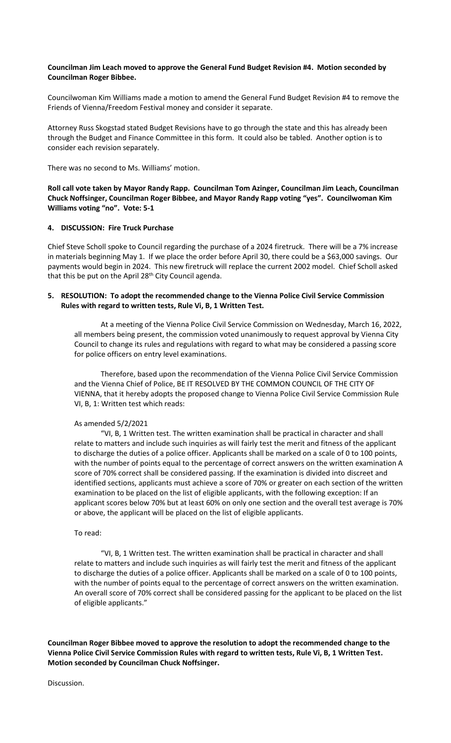## **Councilman Jim Leach moved to approve the General Fund Budget Revision #4. Motion seconded by Councilman Roger Bibbee.**

Councilwoman Kim Williams made a motion to amend the General Fund Budget Revision #4 to remove the Friends of Vienna/Freedom Festival money and consider it separate.

Attorney Russ Skogstad stated Budget Revisions have to go through the state and this has already been through the Budget and Finance Committee in this form. It could also be tabled. Another option is to consider each revision separately.

There was no second to Ms. Williams' motion.

**Roll call vote taken by Mayor Randy Rapp. Councilman Tom Azinger, Councilman Jim Leach, Councilman Chuck Noffsinger, Councilman Roger Bibbee, and Mayor Randy Rapp voting "yes". Councilwoman Kim Williams voting "no". Vote: 5-1**

## **4. DISCUSSION: Fire Truck Purchase**

Chief Steve Scholl spoke to Council regarding the purchase of a 2024 firetruck. There will be a 7% increase in materials beginning May 1. If we place the order before April 30, there could be a \$63,000 savings. Our payments would begin in 2024. This new firetruck will replace the current 2002 model. Chief Scholl asked that this be put on the April 28<sup>th</sup> City Council agenda.

## **5. RESOLUTION: To adopt the recommended change to the Vienna Police Civil Service Commission Rules with regard to written tests, Rule Vi, B, 1 Written Test.**

At a meeting of the Vienna Police Civil Service Commission on Wednesday, March 16, 2022, all members being present, the commission voted unanimously to request approval by Vienna City Council to change its rules and regulations with regard to what may be considered a passing score for police officers on entry level examinations.

Therefore, based upon the recommendation of the Vienna Police Civil Service Commission and the Vienna Chief of Police, BE IT RESOLVED BY THE COMMON COUNCIL OF THE CITY OF VIENNA, that it hereby adopts the proposed change to Vienna Police Civil Service Commission Rule VI, B, 1: Written test which reads:

## As amended 5/2/2021

"VI, B, 1 Written test. The written examination shall be practical in character and shall relate to matters and include such inquiries as will fairly test the merit and fitness of the applicant to discharge the duties of a police officer. Applicants shall be marked on a scale of 0 to 100 points, with the number of points equal to the percentage of correct answers on the written examination A score of 70% correct shall be considered passing. If the examination is divided into discreet and identified sections, applicants must achieve a score of 70% or greater on each section of the written examination to be placed on the list of eligible applicants, with the following exception: If an applicant scores below 70% but at least 60% on only one section and the overall test average is 70% or above, the applicant will be placed on the list of eligible applicants.

## To read:

"VI, B, 1 Written test. The written examination shall be practical in character and shall relate to matters and include such inquiries as will fairly test the merit and fitness of the applicant to discharge the duties of a police officer. Applicants shall be marked on a scale of 0 to 100 points, with the number of points equal to the percentage of correct answers on the written examination. An overall score of 70% correct shall be considered passing for the applicant to be placed on the list of eligible applicants."

**Councilman Roger Bibbee moved to approve the resolution to adopt the recommended change to the Vienna Police Civil Service Commission Rules with regard to written tests, Rule Vi, B, 1 Written Test. Motion seconded by Councilman Chuck Noffsinger.** 

Discussion.